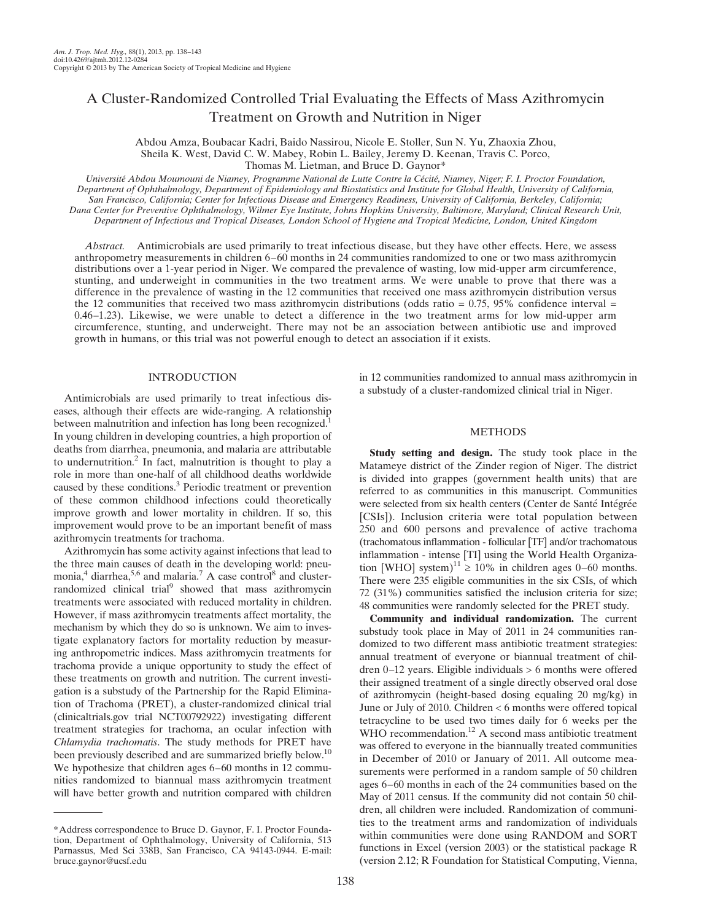# A Cluster-Randomized Controlled Trial Evaluating the Effects of Mass Azithromycin Treatment on Growth and Nutrition in Niger

Abdou Amza, Boubacar Kadri, Baido Nassirou, Nicole E. Stoller, Sun N. Yu, Zhaoxia Zhou, Sheila K. West, David C. W. Mabey, Robin L. Bailey, Jeremy D. Keenan, Travis C. Porco, Thomas M. Lietman, and Bruce D. Gaynor\*

Université Abdou Moumouni de Niamey, Programme National de Lutte Contre la Cécité, Niamey, Niger; F. I. Proctor Foundation, Department of Ophthalmology, Department of Epidemiology and Biostatistics and Institute for Global Health, University of California, San Francisco, California; Center for Infectious Disease and Emergency Readiness, University of California, Berkeley, California; Dana Center for Preventive Ophthalmology, Wilmer Eye Institute, Johns Hopkins University, Baltimore, Maryland; Clinical Research Unit, Department of Infectious and Tropical Diseases, London School of Hygiene and Tropical Medicine, London, United Kingdom

Abstract. Antimicrobials are used primarily to treat infectious disease, but they have other effects. Here, we assess anthropometry measurements in children 6–60 months in 24 communities randomized to one or two mass azithromycin distributions over a 1-year period in Niger. We compared the prevalence of wasting, low mid-upper arm circumference, stunting, and underweight in communities in the two treatment arms. We were unable to prove that there was a difference in the prevalence of wasting in the 12 communities that received one mass azithromycin distribution versus the 12 communities that received two mass azithromycin distributions (odds ratio =  $0.75$ , 95% confidence interval = 0.46–1.23). Likewise, we were unable to detect a difference in the two treatment arms for low mid-upper arm circumference, stunting, and underweight. There may not be an association between antibiotic use and improved growth in humans, or this trial was not powerful enough to detect an association if it exists.

# INTRODUCTION

Antimicrobials are used primarily to treat infectious diseases, although their effects are wide-ranging. A relationship between malnutrition and infection has long been recognized.<sup>1</sup> In young children in developing countries, a high proportion of deaths from diarrhea, pneumonia, and malaria are attributable to undernutrition.2 In fact, malnutrition is thought to play a role in more than one-half of all childhood deaths worldwide caused by these conditions.<sup>3</sup> Periodic treatment or prevention of these common childhood infections could theoretically improve growth and lower mortality in children. If so, this improvement would prove to be an important benefit of mass azithromycin treatments for trachoma.

Azithromycin has some activity against infections that lead to the three main causes of death in the developing world: pneumonia, $4$  diarrhea, $5,6$  and malaria.<sup>7</sup> A case control<sup>8</sup> and clusterrandomized clinical trial<sup>9</sup> showed that mass azithromycin treatments were associated with reduced mortality in children. However, if mass azithromycin treatments affect mortality, the mechanism by which they do so is unknown. We aim to investigate explanatory factors for mortality reduction by measuring anthropometric indices. Mass azithromycin treatments for trachoma provide a unique opportunity to study the effect of these treatments on growth and nutrition. The current investigation is a substudy of the Partnership for the Rapid Elimination of Trachoma (PRET), a cluster-randomized clinical trial (clinicaltrials.gov trial NCT00792922) investigating different treatment strategies for trachoma, an ocular infection with Chlamydia trachomatis. The study methods for PRET have been previously described and are summarized briefly below.<sup>10</sup> We hypothesize that children ages 6–60 months in 12 communities randomized to biannual mass azithromycin treatment will have better growth and nutrition compared with children

in 12 communities randomized to annual mass azithromycin in a substudy of a cluster-randomized clinical trial in Niger.

### METHODS

Study setting and design. The study took place in the Matameye district of the Zinder region of Niger. The district is divided into grappes (government health units) that are referred to as communities in this manuscript. Communities were selected from six health centers (Center de Santé Intégrée [CSIs]). Inclusion criteria were total population between 250 and 600 persons and prevalence of active trachoma (trachomatous inflammation - follicular [TF] and/or trachomatous inflammation - intense [TI] using the World Health Organization [WHO] system)<sup>11</sup>  $\geq$  10% in children ages 0–60 months. There were 235 eligible communities in the six CSIs, of which 72 (31%) communities satisfied the inclusion criteria for size; 48 communities were randomly selected for the PRET study.

Community and individual randomization. The current substudy took place in May of 2011 in 24 communities randomized to two different mass antibiotic treatment strategies: annual treatment of everyone or biannual treatment of children 0–12 years. Eligible individuals > 6 months were offered their assigned treatment of a single directly observed oral dose of azithromycin (height-based dosing equaling 20 mg/kg) in June or July of 2010. Children < 6 months were offered topical tetracycline to be used two times daily for 6 weeks per the WHO recommendation.<sup>12</sup> A second mass antibiotic treatment was offered to everyone in the biannually treated communities in December of 2010 or January of 2011. All outcome measurements were performed in a random sample of 50 children ages 6–60 months in each of the 24 communities based on the May of 2011 census. If the community did not contain 50 children, all children were included. Randomization of communities to the treatment arms and randomization of individuals within communities were done using RANDOM and SORT functions in Excel (version 2003) or the statistical package R (version 2.12; R Foundation for Statistical Computing, Vienna,

<sup>\*</sup>Address correspondence to Bruce D. Gaynor, F. I. Proctor Foundation, Department of Ophthalmology, University of California, 513 Parnassus, Med Sci 338B, San Francisco, CA 94143-0944. E-mail: bruce.gaynor@ucsf.edu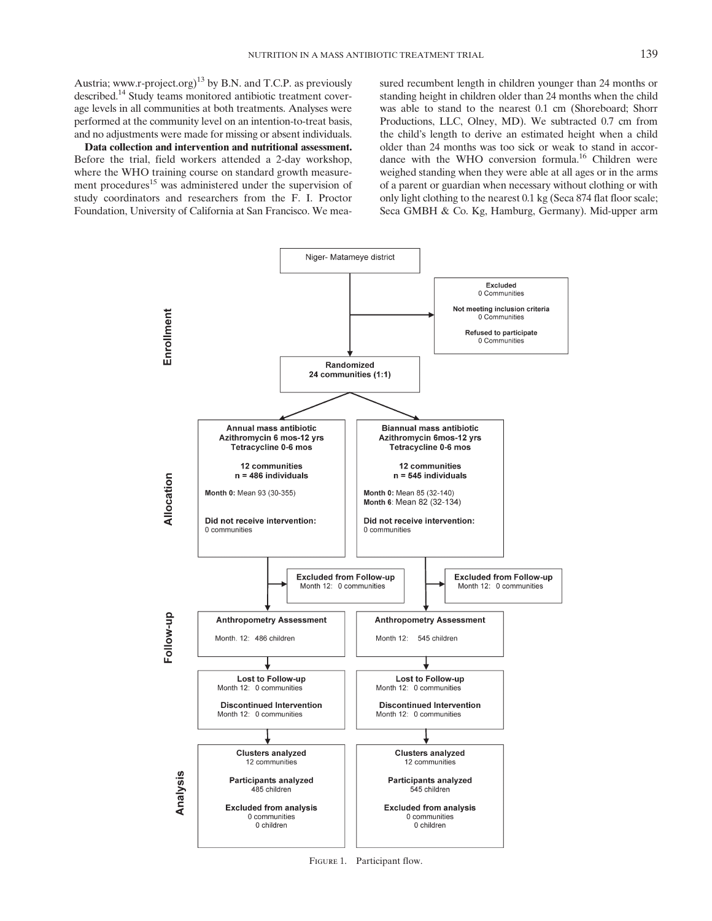Austria; www.r-project.org)<sup>13</sup> by B.N. and T.C.P. as previously described.<sup>14</sup> Study teams monitored antibiotic treatment coverage levels in all communities at both treatments. Analyses were performed at the community level on an intention-to-treat basis, and no adjustments were made for missing or absent individuals.

Data collection and intervention and nutritional assessment. Before the trial, field workers attended a 2-day workshop, where the WHO training course on standard growth measurement procedures<sup>15</sup> was administered under the supervision of study coordinators and researchers from the F. I. Proctor Foundation, University of California at San Francisco. We measured recumbent length in children younger than 24 months or standing height in children older than 24 months when the child was able to stand to the nearest 0.1 cm (Shoreboard; Shorr Productions, LLC, Olney, MD). We subtracted 0.7 cm from the child's length to derive an estimated height when a child older than 24 months was too sick or weak to stand in accordance with the WHO conversion formula.<sup>16</sup> Children were weighed standing when they were able at all ages or in the arms of a parent or guardian when necessary without clothing or with only light clothing to the nearest 0.1 kg (Seca 874 flat floor scale; Seca GMBH & Co. Kg, Hamburg, Germany). Mid-upper arm



FIGURE 1. Participant flow.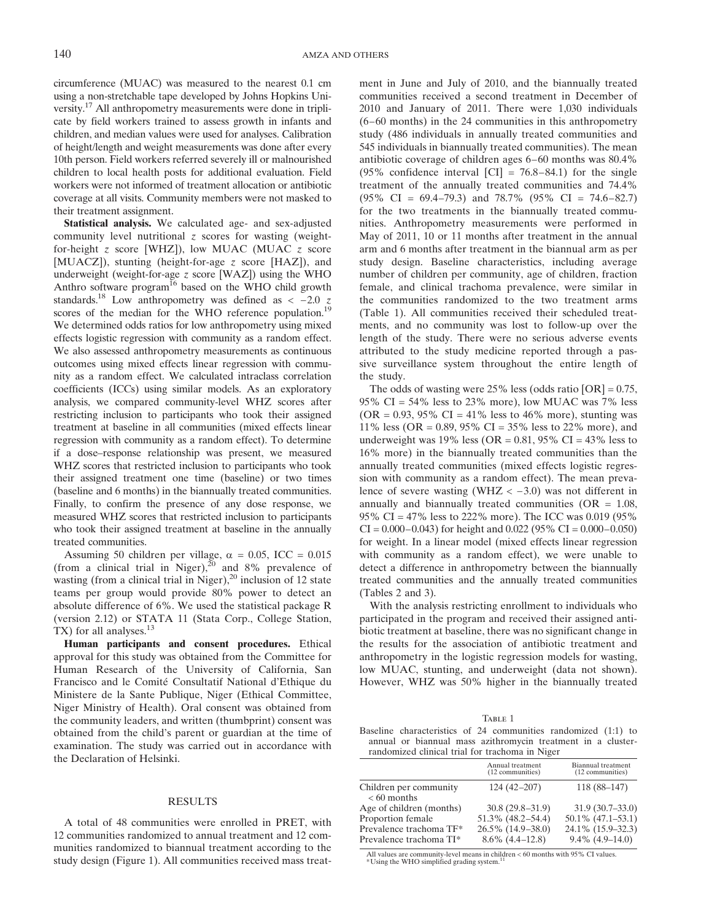circumference (MUAC) was measured to the nearest 0.1 cm using a non-stretchable tape developed by Johns Hopkins University.17 All anthropometry measurements were done in triplicate by field workers trained to assess growth in infants and children, and median values were used for analyses. Calibration of height/length and weight measurements was done after every 10th person. Field workers referred severely ill or malnourished children to local health posts for additional evaluation. Field workers were not informed of treatment allocation or antibiotic coverage at all visits. Community members were not masked to their treatment assignment.

Statistical analysis. We calculated age- and sex-adjusted community level nutritional  $\zeta$  scores for wasting (weightfor-height z score [WHZ]), low MUAC (MUAC z score [MUACZ]), stunting (height-for-age z score [HAZ]), and underweight (weight-for-age  $z$  score [WAZ]) using the WHO Anthro software program<sup>16</sup> based on the WHO child growth standards.<sup>18</sup> Low anthropometry was defined as  $\lt$  -2.0 z scores of the median for the WHO reference population.<sup>19</sup> We determined odds ratios for low anthropometry using mixed effects logistic regression with community as a random effect. We also assessed anthropometry measurements as continuous outcomes using mixed effects linear regression with community as a random effect. We calculated intraclass correlation coefficients (ICCs) using similar models. As an exploratory analysis, we compared community-level WHZ scores after restricting inclusion to participants who took their assigned treatment at baseline in all communities (mixed effects linear regression with community as a random effect). To determine if a dose–response relationship was present, we measured WHZ scores that restricted inclusion to participants who took their assigned treatment one time (baseline) or two times (baseline and 6 months) in the biannually treated communities. Finally, to confirm the presence of any dose response, we measured WHZ scores that restricted inclusion to participants who took their assigned treatment at baseline in the annually treated communities.

Assuming 50 children per village,  $\alpha = 0.05$ , ICC = 0.015 (from a clinical trial in Niger), $^{20}$  and 8% prevalence of wasting (from a clinical trial in Niger),<sup>20</sup> inclusion of 12 state teams per group would provide 80% power to detect an absolute difference of 6%. We used the statistical package R (version 2.12) or STATA 11 (Stata Corp., College Station, TX) for all analyses.<sup>13</sup>

Human participants and consent procedures. Ethical approval for this study was obtained from the Committee for Human Research of the University of California, San Francisco and le Comité Consultatif National d'Ethique du Ministere de la Sante Publique, Niger (Ethical Committee, Niger Ministry of Health). Oral consent was obtained from the community leaders, and written (thumbprint) consent was obtained from the child's parent or guardian at the time of examination. The study was carried out in accordance with the Declaration of Helsinki.

#### RESULTS

A total of 48 communities were enrolled in PRET, with 12 communities randomized to annual treatment and 12 communities randomized to biannual treatment according to the study design (Figure 1). All communities received mass treatment in June and July of 2010, and the biannually treated communities received a second treatment in December of 2010 and January of 2011. There were 1,030 individuals (6–60 months) in the 24 communities in this anthropometry study (486 individuals in annually treated communities and 545 individuals in biannually treated communities). The mean antibiotic coverage of children ages 6–60 months was 80.4% (95% confidence interval  $\text{[CI]} = 76.8 - 84.1$ ) for the single treatment of the annually treated communities and 74.4% (95% CI = 69.4–79.3) and 78.7% (95% CI = 74.6–82.7) for the two treatments in the biannually treated communities. Anthropometry measurements were performed in May of 2011, 10 or 11 months after treatment in the annual arm and 6 months after treatment in the biannual arm as per study design. Baseline characteristics, including average number of children per community, age of children, fraction female, and clinical trachoma prevalence, were similar in the communities randomized to the two treatment arms (Table 1). All communities received their scheduled treatments, and no community was lost to follow-up over the length of the study. There were no serious adverse events attributed to the study medicine reported through a passive surveillance system throughout the entire length of the study.

The odds of wasting were  $25\%$  less (odds ratio  $[OR] = 0.75$ , 95% CI =  $54\%$  less to 23% more), low MUAC was 7% less  $(OR = 0.93, 95\% \text{ CI} = 41\% \text{ less to } 46\% \text{ more})$ , stunting was 11% less (OR = 0.89, 95% CI = 35% less to 22% more), and underweight was 19% less (OR =  $0.81$ , 95% CI = 43% less to 16% more) in the biannually treated communities than the annually treated communities (mixed effects logistic regression with community as a random effect). The mean prevalence of severe wasting (WHZ < −3.0) was not different in annually and biannually treated communities  $(OR = 1.08,$ 95% CI = 47% less to 222% more). The ICC was 0.019 (95%  $CI = 0.000 - 0.043$ ) for height and 0.022 (95%  $CI = 0.000 - 0.050$ ) for weight. In a linear model (mixed effects linear regression with community as a random effect), we were unable to detect a difference in anthropometry between the biannually treated communities and the annually treated communities (Tables 2 and 3).

With the analysis restricting enrollment to individuals who participated in the program and received their assigned antibiotic treatment at baseline, there was no significant change in the results for the association of antibiotic treatment and anthropometry in the logistic regression models for wasting, low MUAC, stunting, and underweight (data not shown). However, WHZ was 50% higher in the biannually treated

|--|--|

Table <sup>1</sup> Baseline characteristics of 24 communities randomized (1:1) to annual or biannual mass azithromycin treatment in a clusterrandomized clinical trial for trachoma in Niger

|                                                    | Annual treatment<br>(12 communities)    | Biannual treatment<br>(12 communities)  |
|----------------------------------------------------|-----------------------------------------|-----------------------------------------|
| Children per community<br>$< 60$ months            | $124(42-207)$                           | $118(88-147)$                           |
| Age of children (months)                           | $30.8(29.8 - 31.9)$                     | 31.9(30.7–33.0)                         |
| Proportion female                                  | $51.3\%$ (48.2–54.4)                    | $50.1\%$ (47.1–53.1)                    |
| Prevalence trachoma TF*<br>Prevalence trachoma TI* | 26.5% (14.9-38.0)<br>$8.6\%$ (4.4–12.8) | 24.1% (15.9–32.3)<br>$9.4\%$ (4.9–14.0) |

All values are community-level means in children < 60 months with 95% CI values. \*Using the WHO simplified grading system.<sup>11</sup>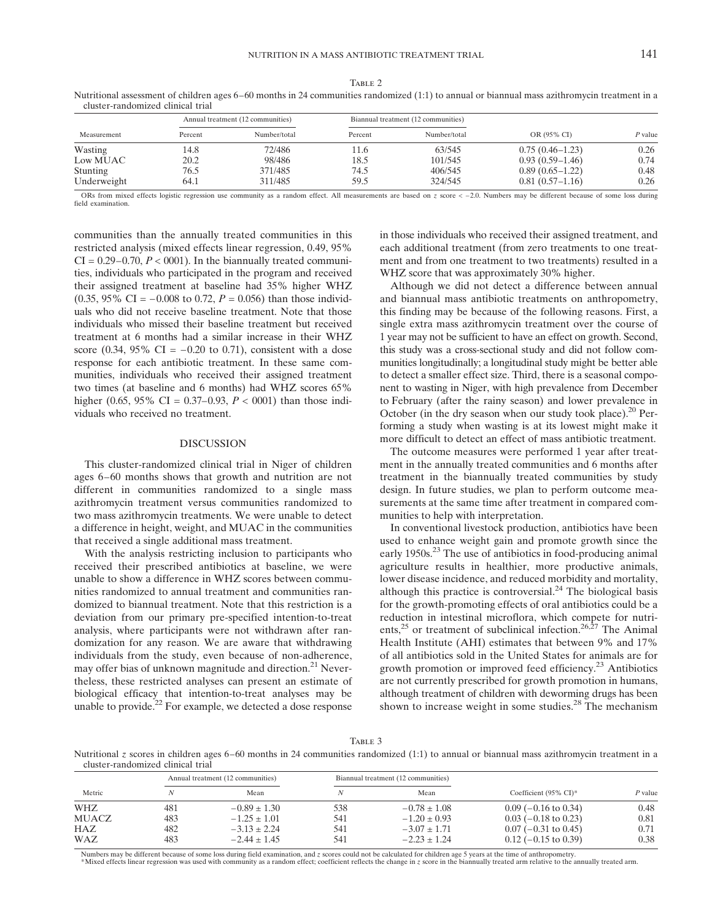Table <sup>2</sup> Nutritional assessment of children ages 6–60 months in 24 communities randomized (1:1) to annual or biannual mass azithromycin treatment in a cluster-randomized clinical trial

| Measurement     | Annual treatment (12 communities) |              | Biannual treatment (12 communities) |              |                     |         |
|-----------------|-----------------------------------|--------------|-------------------------------------|--------------|---------------------|---------|
|                 | Percent                           | Number/total | Percent                             | Number/total | OR (95% CI)         | P value |
| Wasting         | 14.8                              | 72/486       | 11.6                                | 63/545       | $0.75(0.46 - 1.23)$ | 0.26    |
| Low MUAC        | 20.2                              | 98/486       | 18.5                                | 101/545      | $0.93(0.59-1.46)$   | 0.74    |
| <b>Stunting</b> | 76.5                              | 371/485      | 74.5                                | 406/545      | $0.89(0.65-1.22)$   | 0.48    |
| Underweight     | 64.1                              | 311/485      | 59.5                                | 324/545      | $0.81(0.57-1.16)$   | 0.26    |

ORs from mixed effects logistic regression use community as a random effect. All measurements are based on z score < −2.0. Numbers may be different because of some loss during field examination.

communities than the annually treated communities in this restricted analysis (mixed effects linear regression, 0.49, 95%  $CI = 0.29-0.70, P < 0.001$ . In the biannually treated communities, individuals who participated in the program and received their assigned treatment at baseline had 35% higher WHZ (0.35, 95% CI =  $-0.008$  to 0.72,  $P = 0.056$ ) than those individuals who did not receive baseline treatment. Note that those individuals who missed their baseline treatment but received treatment at 6 months had a similar increase in their WHZ score (0.34, 95% CI =  $-0.20$  to 0.71), consistent with a dose response for each antibiotic treatment. In these same communities, individuals who received their assigned treatment two times (at baseline and 6 months) had WHZ scores 65% higher (0.65, 95% CI = 0.37–0.93,  $P < 0001$ ) than those individuals who received no treatment.

## DISCUSSION

This cluster-randomized clinical trial in Niger of children ages 6–60 months shows that growth and nutrition are not different in communities randomized to a single mass azithromycin treatment versus communities randomized to two mass azithromycin treatments. We were unable to detect a difference in height, weight, and MUAC in the communities that received a single additional mass treatment.

With the analysis restricting inclusion to participants who received their prescribed antibiotics at baseline, we were unable to show a difference in WHZ scores between communities randomized to annual treatment and communities randomized to biannual treatment. Note that this restriction is a deviation from our primary pre-specified intention-to-treat analysis, where participants were not withdrawn after randomization for any reason. We are aware that withdrawing individuals from the study, even because of non-adherence, may offer bias of unknown magnitude and direction.<sup>21</sup> Nevertheless, these restricted analyses can present an estimate of biological efficacy that intention-to-treat analyses may be unable to provide.<sup>22</sup> For example, we detected a dose response

in those individuals who received their assigned treatment, and each additional treatment (from zero treatments to one treatment and from one treatment to two treatments) resulted in a WHZ score that was approximately 30% higher.

Although we did not detect a difference between annual and biannual mass antibiotic treatments on anthropometry, this finding may be because of the following reasons. First, a single extra mass azithromycin treatment over the course of 1 year may not be sufficient to have an effect on growth. Second, this study was a cross-sectional study and did not follow communities longitudinally; a longitudinal study might be better able to detect a smaller effect size. Third, there is a seasonal component to wasting in Niger, with high prevalence from December to February (after the rainy season) and lower prevalence in October (in the dry season when our study took place).<sup>20</sup> Performing a study when wasting is at its lowest might make it more difficult to detect an effect of mass antibiotic treatment.

The outcome measures were performed 1 year after treatment in the annually treated communities and 6 months after treatment in the biannually treated communities by study design. In future studies, we plan to perform outcome measurements at the same time after treatment in compared communities to help with interpretation.

In conventional livestock production, antibiotics have been used to enhance weight gain and promote growth since the early 1950s.<sup>23</sup> The use of antibiotics in food-producing animal agriculture results in healthier, more productive animals, lower disease incidence, and reduced morbidity and mortality, although this practice is controversial. $24$  The biological basis for the growth-promoting effects of oral antibiotics could be a reduction in intestinal microflora, which compete for nutrients,<sup>25</sup> or treatment of subclinical infection.<sup>26,27</sup> The Animal Health Institute (AHI) estimates that between 9% and 17% of all antibiotics sold in the United States for animals are for growth promotion or improved feed efficiency.<sup>23</sup> Antibiotics are not currently prescribed for growth promotion in humans, although treatment of children with deworming drugs has been shown to increase weight in some studies.<sup>28</sup> The mechanism

TABLE 3

Nutritional  $z$  scores in children ages 6–60 months in 24 communities randomized (1:1) to annual or biannual mass azithromycin treatment in a cluster-randomized clinical trial

| Metric       | Annual treatment (12 communities) |                  | Biannual treatment (12 communities) |                  |                                   |         |
|--------------|-----------------------------------|------------------|-------------------------------------|------------------|-----------------------------------|---------|
|              |                                   | Mean             |                                     | Mean             | Coefficient $(95\% \text{ CI})^*$ | P value |
| WHZ          | 481                               | $-0.89 + 1.30$   | 538                                 | $-0.78 \pm 1.08$ | $0.09$ (-0.16 to 0.34)            | 0.48    |
| <b>MUACZ</b> | 483                               | $-1.25 \pm 1.01$ | 541                                 | $-1.20 \pm 0.93$ | $0.03$ (-0.18 to 0.23)            | 0.81    |
| <b>HAZ</b>   | 482                               | $-3.13 + 2.24$   | 541                                 | $-3.07 + 1.71$   | $0.07$ (-0.31 to 0.45)            | 0.71    |
| <b>WAZ</b>   | 483                               | $-2.44 + 1.45$   | 541                                 | $-2.23 \pm 1.24$ | $0.12$ (-0.15 to 0.39)            | 0.38    |

Numbers may be different because of some loss during field examination, and z scores could not be calculated for children age 5 years at the time of anthropometry.

\*Mixed effects linear regression was used with community as a random effect; coefficient reflects the change in z score in the biannually treated arm relative to the annually treated arm.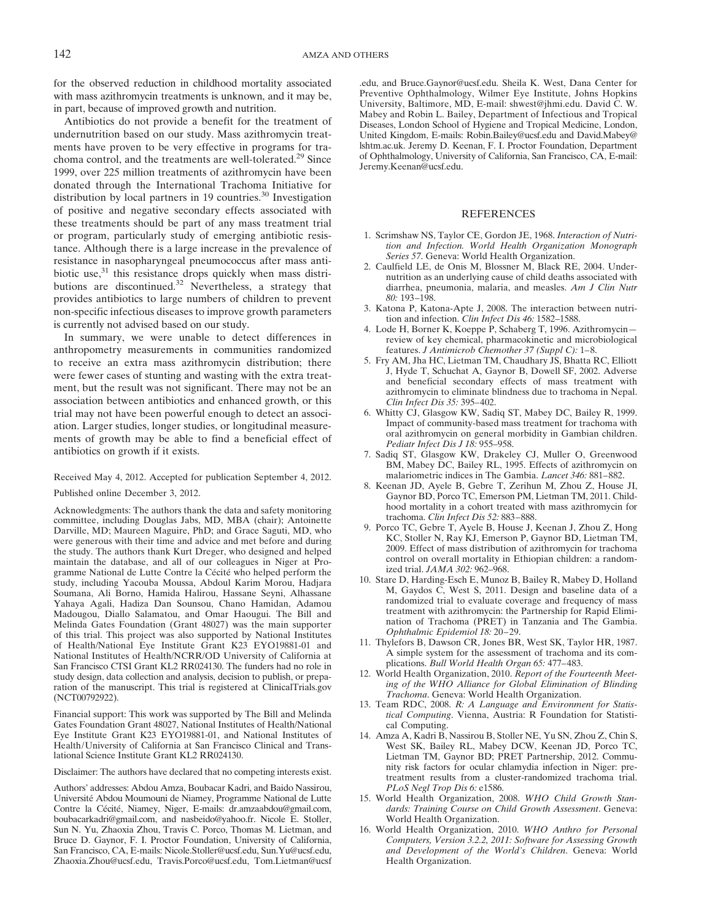for the observed reduction in childhood mortality associated with mass azithromycin treatments is unknown, and it may be, in part, because of improved growth and nutrition.

Antibiotics do not provide a benefit for the treatment of undernutrition based on our study. Mass azithromycin treatments have proven to be very effective in programs for trachoma control, and the treatments are well-tolerated.<sup>29</sup> Since 1999, over 225 million treatments of azithromycin have been donated through the International Trachoma Initiative for distribution by local partners in 19 countries.<sup>30</sup> Investigation of positive and negative secondary effects associated with these treatments should be part of any mass treatment trial or program, particularly study of emerging antibiotic resistance. Although there is a large increase in the prevalence of resistance in nasopharyngeal pneumococcus after mass antibiotic use, $31$  this resistance drops quickly when mass distributions are discontinued. $32$  Nevertheless, a strategy that provides antibiotics to large numbers of children to prevent non-specific infectious diseases to improve growth parameters is currently not advised based on our study.

In summary, we were unable to detect differences in anthropometry measurements in communities randomized to receive an extra mass azithromycin distribution; there were fewer cases of stunting and wasting with the extra treatment, but the result was not significant. There may not be an association between antibiotics and enhanced growth, or this trial may not have been powerful enough to detect an association. Larger studies, longer studies, or longitudinal measurements of growth may be able to find a beneficial effect of antibiotics on growth if it exists.

Received May 4, 2012. Accepted for publication September 4, 2012. Published online December 3, 2012.

Acknowledgments: The authors thank the data and safety monitoring committee, including Douglas Jabs, MD, MBA (chair); Antoinette Darville, MD; Maureen Maguire, PhD; and Grace Saguti, MD, who were generous with their time and advice and met before and during the study. The authors thank Kurt Dreger, who designed and helped maintain the database, and all of our colleagues in Niger at Programme National de Lutte Contre la Cécité who helped perform the study, including Yacouba Moussa, Abdoul Karim Morou, Hadjara Soumana, Ali Borno, Hamida Halirou, Hassane Seyni, Alhassane Yahaya Agali, Hadiza Dan Sounsou, Chano Hamidan, Adamou Madougou, Diallo Salamatou, and Omar Haougui. The Bill and Melinda Gates Foundation (Grant 48027) was the main supporter of this trial. This project was also supported by National Institutes of Health/National Eye Institute Grant K23 EYO19881-01 and National Institutes of Health/NCRR/OD University of California at San Francisco CTSI Grant KL2 RR024130. The funders had no role in study design, data collection and analysis, decision to publish, or preparation of the manuscript. This trial is registered at ClinicalTrials.gov (NCT00792922).

Financial support: This work was supported by The Bill and Melinda Gates Foundation Grant 48027, National Institutes of Health/National Eye Institute Grant K23 EYO19881-01, and National Institutes of Health/University of California at San Francisco Clinical and Translational Science Institute Grant KL2 RR024130.

Disclaimer: The authors have declared that no competing interests exist.

Authors' addresses: Abdou Amza, Boubacar Kadri, and Baido Nassirou, Université Abdou Moumouni de Niamey, Programme National de Lutte Contre la Cécité, Niamey, Niger, E-mails: dr.amzaabdou@gmail.com, boubacarkadri@gmail.com, and nasbeido@yahoo.fr. Nicole E. Stoller, Sun N. Yu, Zhaoxia Zhou, Travis C. Porco, Thomas M. Lietman, and Bruce D. Gaynor, F. I. Proctor Foundation, University of California, San Francisco, CA, E-mails: Nicole.Stoller@ucsf.edu, Sun.Yu@ucsf.edu, Zhaoxia.Zhou@ucsf.edu, Travis.Porco@ucsf.edu, Tom.Lietman@ucsf

.edu, and Bruce.Gaynor@ucsf.edu. Sheila K. West, Dana Center for Preventive Ophthalmology, Wilmer Eye Institute, Johns Hopkins University, Baltimore, MD, E-mail: shwest@jhmi.edu. David C. W. Mabey and Robin L. Bailey, Department of Infectious and Tropical Diseases, London School of Hygiene and Tropical Medicine, London, United Kingdom, E-mails: Robin.Bailey@ucsf.edu and David.Mabey@ lshtm.ac.uk. Jeremy D. Keenan, F. I. Proctor Foundation, Department of Ophthalmology, University of California, San Francisco, CA, E-mail: Jeremy.Keenan@ucsf.edu.

#### REFERENCES

- 1. Scrimshaw NS, Taylor CE, Gordon JE, 1968. Interaction of Nutrition and Infection. World Health Organization Monograph Series 57. Geneva: World Health Organization.
- 2. Caulfield LE, de Onis M, Blossner M, Black RE, 2004. Undernutrition as an underlying cause of child deaths associated with diarrhea, pneumonia, malaria, and measles. Am J Clin Nutr 80: 193–198.
- 3. Katona P, Katona-Apte J, 2008. The interaction between nutrition and infection. Clin Infect Dis 46: 1582–1588.
- 4. Lode H, Borner K, Koeppe P, Schaberg T, 1996. Azithromycin review of key chemical, pharmacokinetic and microbiological features. J Antimicrob Chemother 37 (Suppl C): 1-8.
- 5. Fry AM, Jha HC, Lietman TM, Chaudhary JS, Bhatta RC, Elliott J, Hyde T, Schuchat A, Gaynor B, Dowell SF, 2002. Adverse and beneficial secondary effects of mass treatment with azithromycin to eliminate blindness due to trachoma in Nepal. Clin Infect Dis 35: 395–402.
- 6. Whitty CJ, Glasgow KW, Sadiq ST, Mabey DC, Bailey R, 1999. Impact of community-based mass treatment for trachoma with oral azithromycin on general morbidity in Gambian children. Pediatr Infect Dis J 18: 955–958.
- 7. Sadiq ST, Glasgow KW, Drakeley CJ, Muller O, Greenwood BM, Mabey DC, Bailey RL, 1995. Effects of azithromycin on malariometric indices in The Gambia. Lancet 346: 881–882.
- 8. Keenan JD, Ayele B, Gebre T, Zerihun M, Zhou Z, House JI, Gaynor BD, Porco TC, Emerson PM, Lietman TM, 2011. Childhood mortality in a cohort treated with mass azithromycin for trachoma. Clin Infect Dis 52: 883–888.
- 9. Porco TC, Gebre T, Ayele B, House J, Keenan J, Zhou Z, Hong KC, Stoller N, Ray KJ, Emerson P, Gaynor BD, Lietman TM, 2009. Effect of mass distribution of azithromycin for trachoma control on overall mortality in Ethiopian children: a randomized trial. JAMA 302: 962–968.
- 10. Stare D, Harding-Esch E, Munoz B, Bailey R, Mabey D, Holland M, Gaydos C, West S, 2011. Design and baseline data of a randomized trial to evaluate coverage and frequency of mass treatment with azithromycin: the Partnership for Rapid Elimination of Trachoma (PRET) in Tanzania and The Gambia. Ophthalmic Epidemiol 18: 20–29.
- 11. Thylefors B, Dawson CR, Jones BR, West SK, Taylor HR, 1987. A simple system for the assessment of trachoma and its complications. Bull World Health Organ 65: 477–483.
- 12. World Health Organization, 2010. Report of the Fourteenth Meeting of the WHO Alliance for Global Elimination of Blinding Trachoma. Geneva: World Health Organization.
- 13. Team RDC, 2008. R: A Language and Environment for Statistical Computing. Vienna, Austria: R Foundation for Statistical Computing.
- 14. Amza A, Kadri B, Nassirou B, Stoller NE, Yu SN, Zhou Z, Chin S, West SK, Bailey RL, Mabey DCW, Keenan JD, Porco TC, Lietman TM, Gaynor BD; PRET Partnership, 2012. Community risk factors for ocular chlamydia infection in Niger: pretreatment results from a cluster-randomized trachoma trial. PLoS Negl Trop Dis 6: e1586.
- 15. World Health Organization, 2008. WHO Child Growth Standards: Training Course on Child Growth Assessment. Geneva: World Health Organization.
- 16. World Health Organization, 2010. WHO Anthro for Personal Computers, Version 3.2.2, 2011: Software for Assessing Growth and Development of the World's Children. Geneva: World Health Organization.